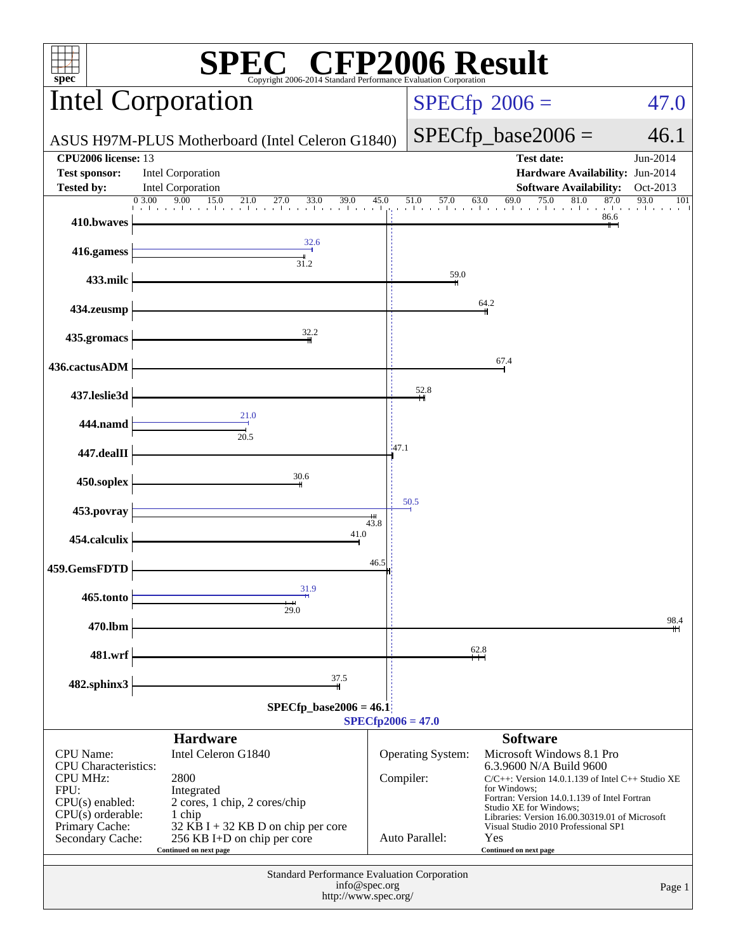| $spec*$                                                                                                                                                      | <b>EC<sup>®</sup> CFP2006 Result</b><br>Copyright 2006-2014 Standard Performance Evaluation Corporation                                                                               |                     |                                     |                                                                                                                                                                                                                                                                                                                                   |                         |  |  |  |  |
|--------------------------------------------------------------------------------------------------------------------------------------------------------------|---------------------------------------------------------------------------------------------------------------------------------------------------------------------------------------|---------------------|-------------------------------------|-----------------------------------------------------------------------------------------------------------------------------------------------------------------------------------------------------------------------------------------------------------------------------------------------------------------------------------|-------------------------|--|--|--|--|
|                                                                                                                                                              | <b>Intel Corporation</b>                                                                                                                                                              |                     |                                     | $SPECfp^{\circ}2006 =$<br>47.0                                                                                                                                                                                                                                                                                                    |                         |  |  |  |  |
|                                                                                                                                                              | ASUS H97M-PLUS Motherboard (Intel Celeron G1840)                                                                                                                                      |                     |                                     | $SPECfp\_base2006 =$                                                                                                                                                                                                                                                                                                              | 46.1                    |  |  |  |  |
| CPU2006 license: 13<br><b>Test sponsor:</b>                                                                                                                  | Intel Corporation                                                                                                                                                                     |                     |                                     | <b>Test date:</b><br>Hardware Availability: Jun-2014                                                                                                                                                                                                                                                                              | Jun-2014                |  |  |  |  |
| <b>Tested by:</b>                                                                                                                                            | Intel Corporation<br>$\frac{0.300}{1.1}$ $\frac{9.00}{1.50}$ $\frac{15.0}{21.0}$ $\frac{21.0}{27.0}$ $\frac{33.0}{33.0}$ $\frac{39.0}{1.0}$ $\frac{45.0}{1.0}$                        |                     | 51.0<br>57.0                        | <b>Software Availability:</b><br>75.0<br>81.0<br>87.0<br>69.0<br>63.0<br>a dheer ah ka san ka san ka san kalifa sa san kasasan ka                                                                                                                                                                                                 | Oct-2013<br>93.0<br>101 |  |  |  |  |
| 410.bwaves                                                                                                                                                   |                                                                                                                                                                                       |                     |                                     | 86.6                                                                                                                                                                                                                                                                                                                              |                         |  |  |  |  |
| 416.gamess                                                                                                                                                   | 32.6<br>$\frac{1}{31.2}$                                                                                                                                                              |                     |                                     |                                                                                                                                                                                                                                                                                                                                   |                         |  |  |  |  |
| 433.milc                                                                                                                                                     |                                                                                                                                                                                       |                     | 59.0                                |                                                                                                                                                                                                                                                                                                                                   |                         |  |  |  |  |
| 434.zeusmp                                                                                                                                                   |                                                                                                                                                                                       |                     |                                     | 64.2                                                                                                                                                                                                                                                                                                                              |                         |  |  |  |  |
| 435.gromacs                                                                                                                                                  | 32.2                                                                                                                                                                                  |                     |                                     |                                                                                                                                                                                                                                                                                                                                   |                         |  |  |  |  |
| 436.cactusADM                                                                                                                                                |                                                                                                                                                                                       |                     |                                     | 67.4                                                                                                                                                                                                                                                                                                                              |                         |  |  |  |  |
| 437.leslie3d                                                                                                                                                 |                                                                                                                                                                                       |                     | 52.8                                |                                                                                                                                                                                                                                                                                                                                   |                         |  |  |  |  |
| 444.namd                                                                                                                                                     | 21.0<br>$\frac{1}{20.5}$                                                                                                                                                              |                     |                                     |                                                                                                                                                                                                                                                                                                                                   |                         |  |  |  |  |
| 447.dealII                                                                                                                                                   |                                                                                                                                                                                       | 147.1               |                                     |                                                                                                                                                                                                                                                                                                                                   |                         |  |  |  |  |
| 450.soplex                                                                                                                                                   | 30.6                                                                                                                                                                                  |                     |                                     |                                                                                                                                                                                                                                                                                                                                   |                         |  |  |  |  |
| 453.povray                                                                                                                                                   |                                                                                                                                                                                       |                     | 50.5                                |                                                                                                                                                                                                                                                                                                                                   |                         |  |  |  |  |
| 454.calculix                                                                                                                                                 | 41.0                                                                                                                                                                                  | 43.8                |                                     |                                                                                                                                                                                                                                                                                                                                   |                         |  |  |  |  |
| 459.GemsFDTD                                                                                                                                                 |                                                                                                                                                                                       | 46.5                |                                     |                                                                                                                                                                                                                                                                                                                                   |                         |  |  |  |  |
| 465.tonto                                                                                                                                                    | 31.9                                                                                                                                                                                  |                     |                                     |                                                                                                                                                                                                                                                                                                                                   |                         |  |  |  |  |
| 470.lbm                                                                                                                                                      | 29.0                                                                                                                                                                                  |                     |                                     |                                                                                                                                                                                                                                                                                                                                   | 98.4                    |  |  |  |  |
| 481.wrf                                                                                                                                                      |                                                                                                                                                                                       |                     |                                     | 62.8                                                                                                                                                                                                                                                                                                                              |                         |  |  |  |  |
| 482.sphinx3                                                                                                                                                  | 37.5                                                                                                                                                                                  |                     |                                     |                                                                                                                                                                                                                                                                                                                                   |                         |  |  |  |  |
| $SPECfp\_base2006 = 46.1$                                                                                                                                    |                                                                                                                                                                                       |                     |                                     |                                                                                                                                                                                                                                                                                                                                   |                         |  |  |  |  |
|                                                                                                                                                              | <b>Hardware</b>                                                                                                                                                                       | $SPECfp2006 = 47.0$ |                                     | <b>Software</b>                                                                                                                                                                                                                                                                                                                   |                         |  |  |  |  |
| <b>CPU</b> Name:<br><b>CPU</b> Characteristics:<br><b>CPU MHz:</b><br>FPU:<br>$CPU(s)$ enabled:<br>$CPU(s)$ orderable:<br>Primary Cache:<br>Secondary Cache: | Intel Celeron G1840<br>2800<br>Integrated<br>2 cores, 1 chip, 2 cores/chip<br>1 chip<br>$32$ KB I + 32 KB D on chip per core<br>256 KB I+D on chip per core<br>Continued on next page | Compiler:           | Operating System:<br>Auto Parallel: | Microsoft Windows 8.1 Pro<br>6.3.9600 N/A Build 9600<br>$C/C++$ : Version 14.0.1.139 of Intel $C++$ Studio XE<br>for Windows:<br>Fortran: Version 14.0.1.139 of Intel Fortran<br>Studio XE for Windows;<br>Libraries: Version 16.00.30319.01 of Microsoft<br>Visual Studio 2010 Professional SP1<br>Yes<br>Continued on next page |                         |  |  |  |  |
| Standard Performance Evaluation Corporation<br>info@spec.org<br>Page 1<br>http://www.spec.org/                                                               |                                                                                                                                                                                       |                     |                                     |                                                                                                                                                                                                                                                                                                                                   |                         |  |  |  |  |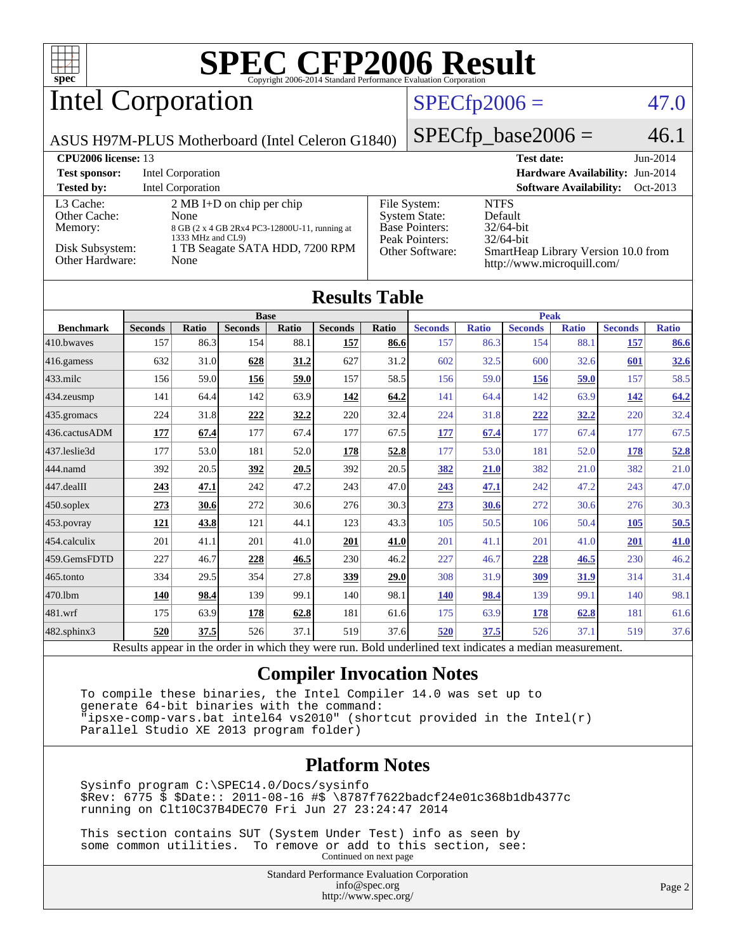

Intel Corporation

## $SPECfp2006 = 47.0$  $SPECfp2006 = 47.0$

ASUS H97M-PLUS Motherboard (Intel Celeron G1840)

 $SPECfp\_base2006 = 46.1$ 

| <b>CPU<sub>2006</sub></b> license: 13 |                                                                                                                   |                                                                                 | <b>Test date:</b><br>$Jun-2014$                                   |
|---------------------------------------|-------------------------------------------------------------------------------------------------------------------|---------------------------------------------------------------------------------|-------------------------------------------------------------------|
| <b>Test sponsor:</b>                  | Intel Corporation                                                                                                 |                                                                                 | Hardware Availability: Jun-2014                                   |
| <b>Tested by:</b>                     | Intel Corporation                                                                                                 |                                                                                 | <b>Software Availability:</b><br>Oct-2013                         |
| L3 Cache:<br>Other Cache:<br>Memory:  | $2 \text{ MB I+D}$ on chip per chip<br>None<br>8 GB (2 x 4 GB 2Rx4 PC3-12800U-11, running at<br>1333 MHz and CL9) | File System:<br><b>System State:</b><br><b>Base Pointers:</b><br>Peak Pointers: | <b>NTFS</b><br>Default<br>$32/64$ -bit<br>$32/64$ -bit            |
| Disk Subsystem:<br>Other Hardware:    | 1 TB Seagate SATA HDD, 7200 RPM<br>None                                                                           | Other Software:                                                                 | SmartHeap Library Version 10.0 from<br>http://www.microquill.com/ |

| <b>Results Table</b>   |                |              |                |       |                |             |                |              |                |              |                |              |
|------------------------|----------------|--------------|----------------|-------|----------------|-------------|----------------|--------------|----------------|--------------|----------------|--------------|
|                        | <b>Base</b>    |              |                |       |                | <b>Peak</b> |                |              |                |              |                |              |
| <b>Benchmark</b>       | <b>Seconds</b> | <b>Ratio</b> | <b>Seconds</b> | Ratio | <b>Seconds</b> | Ratio       | <b>Seconds</b> | <b>Ratio</b> | <b>Seconds</b> | <b>Ratio</b> | <b>Seconds</b> | <b>Ratio</b> |
| 410.bwayes             | 157            | 86.3         | 154            | 88.1  | 157            | 86.6        | 157            | 86.3         | 154            | 88.1         | 157            | 86.6         |
| 416.gamess             | 632            | 31.0         | 628            | 31.2  | 627            | 31.2        | 602            | 32.5         | 600            | 32.6         | 601            | 32.6         |
| $433$ .milc            | 156            | 59.0         | 156            | 59.0  | 157            | 58.5        | 156            | 59.0         | <b>156</b>     | 59.0         | 157            | 58.5         |
| $434$ . zeusmp         | 141            | 64.4         | 142            | 63.9  | 142            | 64.2        | 141            | 64.4         | 142            | 63.9         | <u>142</u>     | 64.2         |
| $435.$ gromacs         | 224            | 31.8         | <u>222</u>     | 32.2  | 220            | 32.4        | 224            | 31.8         | 222            | <u>32.2</u>  | 220            | 32.4         |
| 436.cactusADM          | 177            | 67.4         | 177            | 67.4  | 177            | 67.5        | 177            | 67.4         | 177            | 67.4         | 177            | 67.5         |
| 437.leslie3d           | 177            | 53.0         | 181            | 52.0  | 178            | 52.8        | 177            | 53.0         | 181            | 52.0         | 178            | 52.8         |
| 444.namd               | 392            | 20.5         | 392            | 20.5  | 392            | 20.5        | 382            | 21.0         | 382            | 21.0         | 382            | 21.0         |
| $ 447 \text{.}$ dealII | 243            | 47.1         | 242            | 47.2  | 243            | 47.0        | 243            | <u>47.1</u>  | 242            | 47.2         | 243            | 47.0         |
| $450$ .soplex          | 273            | 30.6         | 272            | 30.6  | 276            | 30.3        | 273            | 30.6         | 272            | 30.6         | 276            | 30.3         |
| $ 453$ . povray        | 121            | 43.8         | 121            | 44.1  | 123            | 43.3        | 105            | 50.5         | 106            | 50.4         | 105            | 50.5         |
| $454$ .calculix        | 201            | 41.1         | 201            | 41.0  | 201            | 41.0        | 201            | 41.1         | 201            | 41.0         | 201            | 41.0         |
| 459.GemsFDTD           | 227            | 46.7         | 228            | 46.5  | 230            | 46.2        | 227            | 46.7         | 228            | 46.5         | 230            | 46.2         |
| $ 465$ .tonto          | 334            | 29.5         | 354            | 27.8  | 339            | 29.0        | 308            | 31.9         | <u>309</u>     | 31.9         | 314            | 31.4         |
| 470.1bm                | 140            | 98.4         | 139            | 99.1  | 140            | 98.1        | <b>140</b>     | 98.4         | 139            | 99.1         | 140            | 98.1         |
| $ 481$ .wrf            | 175            | 63.9         | 178            | 62.8  | 181            | 61.6        | 175            | 63.9         | <u>178</u>     | 62.8         | 181            | 61.6         |
| $482$ .sphinx $3$      | 520            | 37.5         | 526            | 37.1  | 519            | 37.6        | 520            | 37.5         | 526            | 37.1         | 519            | 37.6         |

Results appear in the [order in which they were run.](http://www.spec.org/auto/cpu2006/Docs/result-fields.html#RunOrder) Bold underlined text [indicates a median measurement.](http://www.spec.org/auto/cpu2006/Docs/result-fields.html#Median)

## **[Compiler Invocation Notes](http://www.spec.org/auto/cpu2006/Docs/result-fields.html#CompilerInvocationNotes)**

 To compile these binaries, the Intel Compiler 14.0 was set up to generate 64-bit binaries with the command: "ipsxe-comp-vars.bat intel64 vs2010" (shortcut provided in the Intel(r) Parallel Studio XE 2013 program folder)

## **[Platform Notes](http://www.spec.org/auto/cpu2006/Docs/result-fields.html#PlatformNotes)**

 Sysinfo program C:\SPEC14.0/Docs/sysinfo \$Rev: 6775 \$ \$Date:: 2011-08-16 #\$ \8787f7622badcf24e01c368b1db4377c running on Clt10C37B4DEC70 Fri Jun 27 23:24:47 2014

 This section contains SUT (System Under Test) info as seen by some common utilities. To remove or add to this section, see: Continued on next page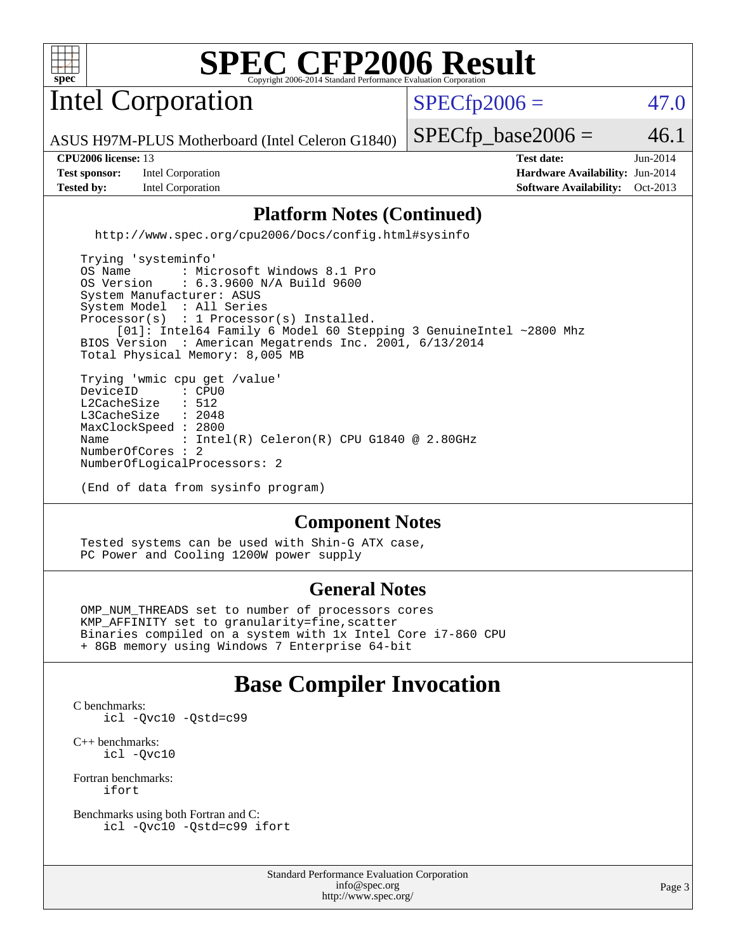

Intel Corporation

 $SPECfp2006 = 47.0$  $SPECfp2006 = 47.0$ 

ASUS H97M-PLUS Motherboard (Intel Celeron G1840)

**[Test sponsor:](http://www.spec.org/auto/cpu2006/Docs/result-fields.html#Testsponsor)** Intel Corporation **[Hardware Availability:](http://www.spec.org/auto/cpu2006/Docs/result-fields.html#HardwareAvailability)** Jun-2014

 $SPECTp\_base2006 = 46.1$ **[CPU2006 license:](http://www.spec.org/auto/cpu2006/Docs/result-fields.html#CPU2006license)** 13 **[Test date:](http://www.spec.org/auto/cpu2006/Docs/result-fields.html#Testdate)** Jun-2014

**[Tested by:](http://www.spec.org/auto/cpu2006/Docs/result-fields.html#Testedby)** Intel Corporation **[Software Availability:](http://www.spec.org/auto/cpu2006/Docs/result-fields.html#SoftwareAvailability)** Oct-2013

## **[Platform Notes \(Continued\)](http://www.spec.org/auto/cpu2006/Docs/result-fields.html#PlatformNotes)**

<http://www.spec.org/cpu2006/Docs/config.html#sysinfo>

 Trying 'systeminfo' OS Name : Microsoft Windows 8.1 Pro<br>OS Version : 6.3.9600 N/A Build 9600 : 6.3.9600 N/A Build 9600 System Manufacturer: ASUS System Model : All Series Processor(s) : 1 Processor(s) Installed. [01]: Intel64 Family 6 Model 60 Stepping 3 GenuineIntel ~2800 Mhz BIOS Version : American Megatrends Inc. 2001, 6/13/2014 Total Physical Memory: 8,005 MB Trying 'wmic cpu get /value' DeviceID : CPU<br>L2CacheSize : 512 L2CacheSize : 512<br>L3CacheSize : 2048 L3CacheSize MaxClockSpeed : 2800 Name : Intel(R) Celeron(R) CPU G1840 @ 2.80GHz NumberOfCores : 2 NumberOfLogicalProcessors: 2

(End of data from sysinfo program)

## **[Component Notes](http://www.spec.org/auto/cpu2006/Docs/result-fields.html#ComponentNotes)**

 Tested systems can be used with Shin-G ATX case, PC Power and Cooling 1200W power supply

## **[General Notes](http://www.spec.org/auto/cpu2006/Docs/result-fields.html#GeneralNotes)**

 OMP\_NUM\_THREADS set to number of processors cores KMP\_AFFINITY set to granularity=fine,scatter Binaries compiled on a system with 1x Intel Core i7-860 CPU + 8GB memory using Windows 7 Enterprise 64-bit

## **[Base Compiler Invocation](http://www.spec.org/auto/cpu2006/Docs/result-fields.html#BaseCompilerInvocation)**

[C benchmarks](http://www.spec.org/auto/cpu2006/Docs/result-fields.html#Cbenchmarks): [icl -Qvc10](http://www.spec.org/cpu2006/results/res2014q3/cpu2006-20140715-30471.flags.html#user_CCbase_intel_icc_vc10_9607f3ecbcdf68042245f068e51b40c1) [-Qstd=c99](http://www.spec.org/cpu2006/results/res2014q3/cpu2006-20140715-30471.flags.html#user_CCbase_intel_compiler_c99_mode_1a3d110e3041b3ad4466830521bdad2a)

[C++ benchmarks:](http://www.spec.org/auto/cpu2006/Docs/result-fields.html#CXXbenchmarks) [icl -Qvc10](http://www.spec.org/cpu2006/results/res2014q3/cpu2006-20140715-30471.flags.html#user_CXXbase_intel_icc_vc10_9607f3ecbcdf68042245f068e51b40c1)

[Fortran benchmarks](http://www.spec.org/auto/cpu2006/Docs/result-fields.html#Fortranbenchmarks): [ifort](http://www.spec.org/cpu2006/results/res2014q3/cpu2006-20140715-30471.flags.html#user_FCbase_intel_ifort_8a5e5e06b19a251bdeaf8fdab5d62f20)

[Benchmarks using both Fortran and C](http://www.spec.org/auto/cpu2006/Docs/result-fields.html#BenchmarksusingbothFortranandC): [icl -Qvc10](http://www.spec.org/cpu2006/results/res2014q3/cpu2006-20140715-30471.flags.html#user_CC_FCbase_intel_icc_vc10_9607f3ecbcdf68042245f068e51b40c1) [-Qstd=c99](http://www.spec.org/cpu2006/results/res2014q3/cpu2006-20140715-30471.flags.html#user_CC_FCbase_intel_compiler_c99_mode_1a3d110e3041b3ad4466830521bdad2a) [ifort](http://www.spec.org/cpu2006/results/res2014q3/cpu2006-20140715-30471.flags.html#user_CC_FCbase_intel_ifort_8a5e5e06b19a251bdeaf8fdab5d62f20)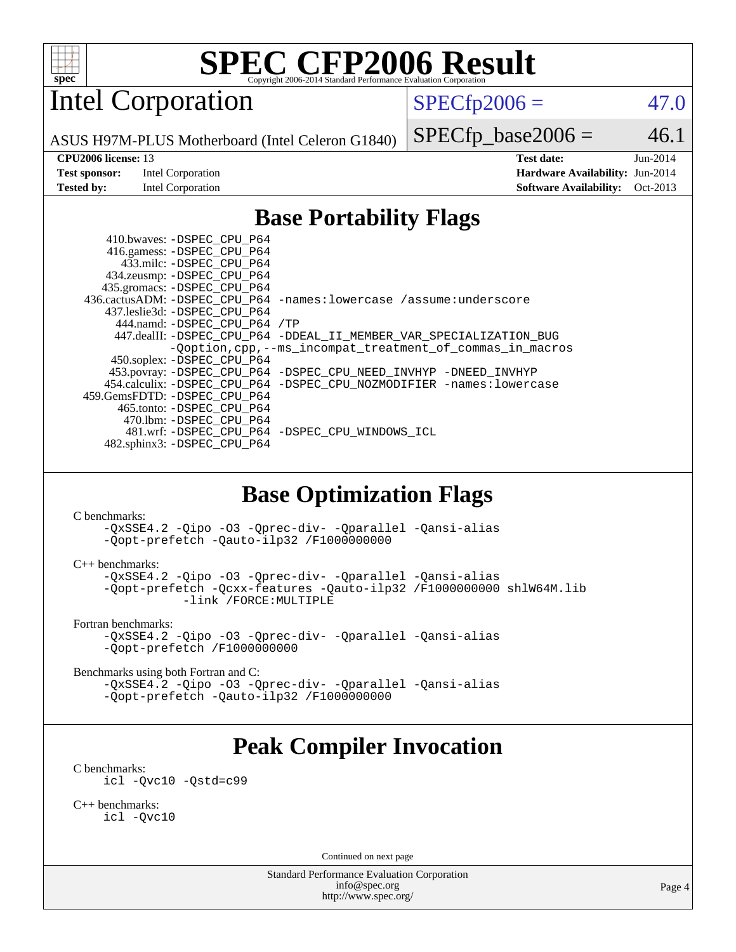

Intel Corporation

 $SPECfp2006 = 47.0$  $SPECfp2006 = 47.0$ 

ASUS H97M-PLUS Motherboard (Intel Celeron G1840)

#### **[CPU2006 license:](http://www.spec.org/auto/cpu2006/Docs/result-fields.html#CPU2006license)** 13 **[Test date:](http://www.spec.org/auto/cpu2006/Docs/result-fields.html#Testdate)** Jun-2014

**[Test sponsor:](http://www.spec.org/auto/cpu2006/Docs/result-fields.html#Testsponsor)** Intel Corporation **[Hardware Availability:](http://www.spec.org/auto/cpu2006/Docs/result-fields.html#HardwareAvailability)** Jun-2014

 $SPECTp\_base2006 = 46.1$ 

**[Tested by:](http://www.spec.org/auto/cpu2006/Docs/result-fields.html#Testedby)** Intel Corporation **[Software Availability:](http://www.spec.org/auto/cpu2006/Docs/result-fields.html#SoftwareAvailability)** Oct-2013

## **[Base Portability Flags](http://www.spec.org/auto/cpu2006/Docs/result-fields.html#BasePortabilityFlags)**

 410.bwaves: [-DSPEC\\_CPU\\_P64](http://www.spec.org/cpu2006/results/res2014q3/cpu2006-20140715-30471.flags.html#suite_basePORTABILITY410_bwaves_DSPEC_CPU_P64) 416.gamess: [-DSPEC\\_CPU\\_P64](http://www.spec.org/cpu2006/results/res2014q3/cpu2006-20140715-30471.flags.html#suite_basePORTABILITY416_gamess_DSPEC_CPU_P64) 433.milc: [-DSPEC\\_CPU\\_P64](http://www.spec.org/cpu2006/results/res2014q3/cpu2006-20140715-30471.flags.html#suite_basePORTABILITY433_milc_DSPEC_CPU_P64) 434.zeusmp: [-DSPEC\\_CPU\\_P64](http://www.spec.org/cpu2006/results/res2014q3/cpu2006-20140715-30471.flags.html#suite_basePORTABILITY434_zeusmp_DSPEC_CPU_P64) 435.gromacs: [-DSPEC\\_CPU\\_P64](http://www.spec.org/cpu2006/results/res2014q3/cpu2006-20140715-30471.flags.html#suite_basePORTABILITY435_gromacs_DSPEC_CPU_P64) 436.cactusADM: [-DSPEC\\_CPU\\_P64](http://www.spec.org/cpu2006/results/res2014q3/cpu2006-20140715-30471.flags.html#suite_basePORTABILITY436_cactusADM_DSPEC_CPU_P64) [-names:lowercase](http://www.spec.org/cpu2006/results/res2014q3/cpu2006-20140715-30471.flags.html#user_baseFPORTABILITY436_cactusADM_lowercase_routine_name_fa09b8c93d90fdc7bf4c1a91694c3a84) [/assume:underscore](http://www.spec.org/cpu2006/results/res2014q3/cpu2006-20140715-30471.flags.html#user_baseFPORTABILITY436_cactusADM_add-underscore_to_routine_name_0c7c658d9e5eb8b86e282975775768a4) 437.leslie3d: [-DSPEC\\_CPU\\_P64](http://www.spec.org/cpu2006/results/res2014q3/cpu2006-20140715-30471.flags.html#suite_basePORTABILITY437_leslie3d_DSPEC_CPU_P64) 444.namd: [-DSPEC\\_CPU\\_P64](http://www.spec.org/cpu2006/results/res2014q3/cpu2006-20140715-30471.flags.html#suite_basePORTABILITY444_namd_DSPEC_CPU_P64) [/TP](http://www.spec.org/cpu2006/results/res2014q3/cpu2006-20140715-30471.flags.html#user_baseCXXPORTABILITY444_namd_assume_cplusplus_sources_73f79b6e94f79d415caf1b69b30a60d8) 447.dealII: [-DSPEC\\_CPU\\_P64](http://www.spec.org/cpu2006/results/res2014q3/cpu2006-20140715-30471.flags.html#suite_basePORTABILITY447_dealII_DSPEC_CPU_P64) [-DDEAL\\_II\\_MEMBER\\_VAR\\_SPECIALIZATION\\_BUG](http://www.spec.org/cpu2006/results/res2014q3/cpu2006-20140715-30471.flags.html#b447.dealII_baseCXXPORTABILITY_DDEAL_II_MEMBER_VAR_SPECIALIZATION_BUG) [-Qoption,cpp,--ms\\_incompat\\_treatment\\_of\\_commas\\_in\\_macros](http://www.spec.org/cpu2006/results/res2014q3/cpu2006-20140715-30471.flags.html#user_baseCXXPORTABILITY447_dealII_workaround_for_incompat_commas_in_macros_371e7208d1728f07541b35505d65f89c) 450.soplex: [-DSPEC\\_CPU\\_P64](http://www.spec.org/cpu2006/results/res2014q3/cpu2006-20140715-30471.flags.html#suite_basePORTABILITY450_soplex_DSPEC_CPU_P64) 453.povray: [-DSPEC\\_CPU\\_P64](http://www.spec.org/cpu2006/results/res2014q3/cpu2006-20140715-30471.flags.html#suite_basePORTABILITY453_povray_DSPEC_CPU_P64) [-DSPEC\\_CPU\\_NEED\\_INVHYP](http://www.spec.org/cpu2006/results/res2014q3/cpu2006-20140715-30471.flags.html#b453.povray_baseCXXPORTABILITY_DSPEC_CPU_NEED_INVHYP) [-DNEED\\_INVHYP](http://www.spec.org/cpu2006/results/res2014q3/cpu2006-20140715-30471.flags.html#b453.povray_baseCXXPORTABILITY_DNEED_INVHYP) 454.calculix: [-DSPEC\\_CPU\\_P64](http://www.spec.org/cpu2006/results/res2014q3/cpu2006-20140715-30471.flags.html#suite_basePORTABILITY454_calculix_DSPEC_CPU_P64) [-DSPEC\\_CPU\\_NOZMODIFIER](http://www.spec.org/cpu2006/results/res2014q3/cpu2006-20140715-30471.flags.html#b454.calculix_baseCPORTABILITY_DSPEC_CPU_NOZMODIFIER) [-names:lowercase](http://www.spec.org/cpu2006/results/res2014q3/cpu2006-20140715-30471.flags.html#user_baseFPORTABILITY454_calculix_lowercase_routine_name_fa09b8c93d90fdc7bf4c1a91694c3a84) 459.GemsFDTD: [-DSPEC\\_CPU\\_P64](http://www.spec.org/cpu2006/results/res2014q3/cpu2006-20140715-30471.flags.html#suite_basePORTABILITY459_GemsFDTD_DSPEC_CPU_P64) 465.tonto: [-DSPEC\\_CPU\\_P64](http://www.spec.org/cpu2006/results/res2014q3/cpu2006-20140715-30471.flags.html#suite_basePORTABILITY465_tonto_DSPEC_CPU_P64) 470.lbm: [-DSPEC\\_CPU\\_P64](http://www.spec.org/cpu2006/results/res2014q3/cpu2006-20140715-30471.flags.html#suite_basePORTABILITY470_lbm_DSPEC_CPU_P64) 481.wrf: [-DSPEC\\_CPU\\_P64](http://www.spec.org/cpu2006/results/res2014q3/cpu2006-20140715-30471.flags.html#suite_basePORTABILITY481_wrf_DSPEC_CPU_P64) [-DSPEC\\_CPU\\_WINDOWS\\_ICL](http://www.spec.org/cpu2006/results/res2014q3/cpu2006-20140715-30471.flags.html#b481.wrf_baseCPORTABILITY_DSPEC_CPU_WINDOWS_ICL) 482.sphinx3: [-DSPEC\\_CPU\\_P64](http://www.spec.org/cpu2006/results/res2014q3/cpu2006-20140715-30471.flags.html#suite_basePORTABILITY482_sphinx3_DSPEC_CPU_P64)

## **[Base Optimization Flags](http://www.spec.org/auto/cpu2006/Docs/result-fields.html#BaseOptimizationFlags)**

[C benchmarks](http://www.spec.org/auto/cpu2006/Docs/result-fields.html#Cbenchmarks):

[-QxSSE4.2](http://www.spec.org/cpu2006/results/res2014q3/cpu2006-20140715-30471.flags.html#user_CCbase_f-QxSSE42_372695bbe211719895df0310b324a1ca) [-Qipo](http://www.spec.org/cpu2006/results/res2014q3/cpu2006-20140715-30471.flags.html#user_CCbase_f-Qipo) [-O3](http://www.spec.org/cpu2006/results/res2014q3/cpu2006-20140715-30471.flags.html#user_CCbase_f-O3) [-Qprec-div-](http://www.spec.org/cpu2006/results/res2014q3/cpu2006-20140715-30471.flags.html#user_CCbase_f-Qprec-div-) [-Qparallel](http://www.spec.org/cpu2006/results/res2014q3/cpu2006-20140715-30471.flags.html#user_CCbase_f-Qparallel) [-Qansi-alias](http://www.spec.org/cpu2006/results/res2014q3/cpu2006-20140715-30471.flags.html#user_CCbase_f-Qansi-alias) [-Qopt-prefetch](http://www.spec.org/cpu2006/results/res2014q3/cpu2006-20140715-30471.flags.html#user_CCbase_f-Qprefetch_37c211608666b9dff9380561f602f0a8) [-Qauto-ilp32](http://www.spec.org/cpu2006/results/res2014q3/cpu2006-20140715-30471.flags.html#user_CCbase_f-Qauto-ilp32) [/F1000000000](http://www.spec.org/cpu2006/results/res2014q3/cpu2006-20140715-30471.flags.html#user_CCbase_set_stack_space_25d7749c1988d91b7f93afbc0ec53727)

[C++ benchmarks:](http://www.spec.org/auto/cpu2006/Docs/result-fields.html#CXXbenchmarks)

[-QxSSE4.2](http://www.spec.org/cpu2006/results/res2014q3/cpu2006-20140715-30471.flags.html#user_CXXbase_f-QxSSE42_372695bbe211719895df0310b324a1ca) [-Qipo](http://www.spec.org/cpu2006/results/res2014q3/cpu2006-20140715-30471.flags.html#user_CXXbase_f-Qipo) [-O3](http://www.spec.org/cpu2006/results/res2014q3/cpu2006-20140715-30471.flags.html#user_CXXbase_f-O3) [-Qprec-div-](http://www.spec.org/cpu2006/results/res2014q3/cpu2006-20140715-30471.flags.html#user_CXXbase_f-Qprec-div-) [-Qparallel](http://www.spec.org/cpu2006/results/res2014q3/cpu2006-20140715-30471.flags.html#user_CXXbase_f-Qparallel) [-Qansi-alias](http://www.spec.org/cpu2006/results/res2014q3/cpu2006-20140715-30471.flags.html#user_CXXbase_f-Qansi-alias) [-Qopt-prefetch](http://www.spec.org/cpu2006/results/res2014q3/cpu2006-20140715-30471.flags.html#user_CXXbase_f-Qprefetch_37c211608666b9dff9380561f602f0a8) [-Qcxx-features](http://www.spec.org/cpu2006/results/res2014q3/cpu2006-20140715-30471.flags.html#user_CXXbase_f-Qcxx_features_dbf36c8a6dba956e22f1645e4dcd4d98) [-Qauto-ilp32](http://www.spec.org/cpu2006/results/res2014q3/cpu2006-20140715-30471.flags.html#user_CXXbase_f-Qauto-ilp32) [/F1000000000](http://www.spec.org/cpu2006/results/res2014q3/cpu2006-20140715-30471.flags.html#user_CXXbase_set_stack_space_25d7749c1988d91b7f93afbc0ec53727) [shlW64M.lib](http://www.spec.org/cpu2006/results/res2014q3/cpu2006-20140715-30471.flags.html#user_CXXbase_SmartHeap64_c4f7f76711bdf8c0633a5c1edf6e5396)  [-link /FORCE:MULTIPLE](http://www.spec.org/cpu2006/results/res2014q3/cpu2006-20140715-30471.flags.html#user_CXXbase_link_force_multiple2_070fe330869edf77077b841074b8b0b6)

[Fortran benchmarks](http://www.spec.org/auto/cpu2006/Docs/result-fields.html#Fortranbenchmarks):

[-QxSSE4.2](http://www.spec.org/cpu2006/results/res2014q3/cpu2006-20140715-30471.flags.html#user_FCbase_f-QxSSE42_372695bbe211719895df0310b324a1ca) [-Qipo](http://www.spec.org/cpu2006/results/res2014q3/cpu2006-20140715-30471.flags.html#user_FCbase_f-Qipo) [-O3](http://www.spec.org/cpu2006/results/res2014q3/cpu2006-20140715-30471.flags.html#user_FCbase_f-O3) [-Qprec-div-](http://www.spec.org/cpu2006/results/res2014q3/cpu2006-20140715-30471.flags.html#user_FCbase_f-Qprec-div-) [-Qparallel](http://www.spec.org/cpu2006/results/res2014q3/cpu2006-20140715-30471.flags.html#user_FCbase_f-Qparallel) [-Qansi-alias](http://www.spec.org/cpu2006/results/res2014q3/cpu2006-20140715-30471.flags.html#user_FCbase_f-Qansi-alias) [-Qopt-prefetch](http://www.spec.org/cpu2006/results/res2014q3/cpu2006-20140715-30471.flags.html#user_FCbase_f-Qprefetch_37c211608666b9dff9380561f602f0a8) [/F1000000000](http://www.spec.org/cpu2006/results/res2014q3/cpu2006-20140715-30471.flags.html#user_FCbase_set_stack_space_25d7749c1988d91b7f93afbc0ec53727)

[Benchmarks using both Fortran and C](http://www.spec.org/auto/cpu2006/Docs/result-fields.html#BenchmarksusingbothFortranandC):

[-QxSSE4.2](http://www.spec.org/cpu2006/results/res2014q3/cpu2006-20140715-30471.flags.html#user_CC_FCbase_f-QxSSE42_372695bbe211719895df0310b324a1ca) [-Qipo](http://www.spec.org/cpu2006/results/res2014q3/cpu2006-20140715-30471.flags.html#user_CC_FCbase_f-Qipo) [-O3](http://www.spec.org/cpu2006/results/res2014q3/cpu2006-20140715-30471.flags.html#user_CC_FCbase_f-O3) [-Qprec-div-](http://www.spec.org/cpu2006/results/res2014q3/cpu2006-20140715-30471.flags.html#user_CC_FCbase_f-Qprec-div-) [-Qparallel](http://www.spec.org/cpu2006/results/res2014q3/cpu2006-20140715-30471.flags.html#user_CC_FCbase_f-Qparallel) [-Qansi-alias](http://www.spec.org/cpu2006/results/res2014q3/cpu2006-20140715-30471.flags.html#user_CC_FCbase_f-Qansi-alias) [-Qopt-prefetch](http://www.spec.org/cpu2006/results/res2014q3/cpu2006-20140715-30471.flags.html#user_CC_FCbase_f-Qprefetch_37c211608666b9dff9380561f602f0a8) [-Qauto-ilp32](http://www.spec.org/cpu2006/results/res2014q3/cpu2006-20140715-30471.flags.html#user_CC_FCbase_f-Qauto-ilp32) [/F1000000000](http://www.spec.org/cpu2006/results/res2014q3/cpu2006-20140715-30471.flags.html#user_CC_FCbase_set_stack_space_25d7749c1988d91b7f93afbc0ec53727)

## **[Peak Compiler Invocation](http://www.spec.org/auto/cpu2006/Docs/result-fields.html#PeakCompilerInvocation)**

[C benchmarks](http://www.spec.org/auto/cpu2006/Docs/result-fields.html#Cbenchmarks):

[icl -Qvc10](http://www.spec.org/cpu2006/results/res2014q3/cpu2006-20140715-30471.flags.html#user_CCpeak_intel_icc_vc10_9607f3ecbcdf68042245f068e51b40c1) [-Qstd=c99](http://www.spec.org/cpu2006/results/res2014q3/cpu2006-20140715-30471.flags.html#user_CCpeak_intel_compiler_c99_mode_1a3d110e3041b3ad4466830521bdad2a)

[C++ benchmarks:](http://www.spec.org/auto/cpu2006/Docs/result-fields.html#CXXbenchmarks) [icl -Qvc10](http://www.spec.org/cpu2006/results/res2014q3/cpu2006-20140715-30471.flags.html#user_CXXpeak_intel_icc_vc10_9607f3ecbcdf68042245f068e51b40c1)

Continued on next page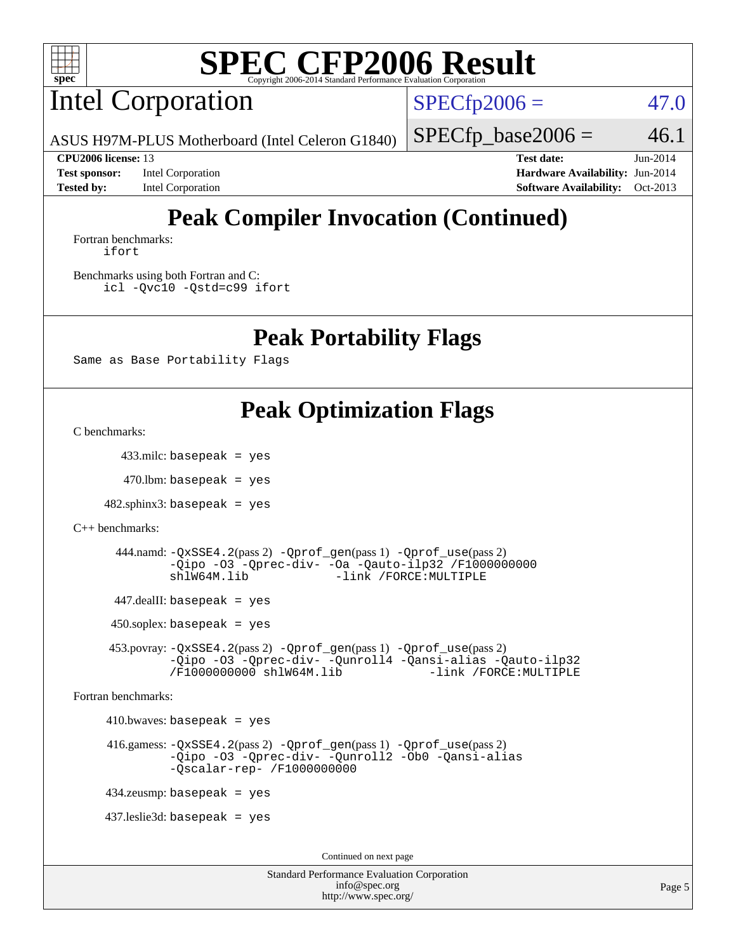

Intel Corporation

 $SPECfp2006 = 47.0$  $SPECfp2006 = 47.0$ 

 $SPECTp\_base2006 = 46.1$ 

ASUS H97M-PLUS Motherboard (Intel Celeron G1840)

**[Tested by:](http://www.spec.org/auto/cpu2006/Docs/result-fields.html#Testedby)** Intel Corporation **[Software Availability:](http://www.spec.org/auto/cpu2006/Docs/result-fields.html#SoftwareAvailability)** Oct-2013

**[CPU2006 license:](http://www.spec.org/auto/cpu2006/Docs/result-fields.html#CPU2006license)** 13 **[Test date:](http://www.spec.org/auto/cpu2006/Docs/result-fields.html#Testdate)** Jun-2014 **[Test sponsor:](http://www.spec.org/auto/cpu2006/Docs/result-fields.html#Testsponsor)** Intel Corporation **[Hardware Availability:](http://www.spec.org/auto/cpu2006/Docs/result-fields.html#HardwareAvailability)** Jun-2014

## **[Peak Compiler Invocation \(Continued\)](http://www.spec.org/auto/cpu2006/Docs/result-fields.html#PeakCompilerInvocation)**

[Fortran benchmarks](http://www.spec.org/auto/cpu2006/Docs/result-fields.html#Fortranbenchmarks): [ifort](http://www.spec.org/cpu2006/results/res2014q3/cpu2006-20140715-30471.flags.html#user_FCpeak_intel_ifort_8a5e5e06b19a251bdeaf8fdab5d62f20)

[Benchmarks using both Fortran and C](http://www.spec.org/auto/cpu2006/Docs/result-fields.html#BenchmarksusingbothFortranandC): [icl -Qvc10](http://www.spec.org/cpu2006/results/res2014q3/cpu2006-20140715-30471.flags.html#user_CC_FCpeak_intel_icc_vc10_9607f3ecbcdf68042245f068e51b40c1) [-Qstd=c99](http://www.spec.org/cpu2006/results/res2014q3/cpu2006-20140715-30471.flags.html#user_CC_FCpeak_intel_compiler_c99_mode_1a3d110e3041b3ad4466830521bdad2a) [ifort](http://www.spec.org/cpu2006/results/res2014q3/cpu2006-20140715-30471.flags.html#user_CC_FCpeak_intel_ifort_8a5e5e06b19a251bdeaf8fdab5d62f20)

## **[Peak Portability Flags](http://www.spec.org/auto/cpu2006/Docs/result-fields.html#PeakPortabilityFlags)**

Same as Base Portability Flags

## **[Peak Optimization Flags](http://www.spec.org/auto/cpu2006/Docs/result-fields.html#PeakOptimizationFlags)**

[C benchmarks](http://www.spec.org/auto/cpu2006/Docs/result-fields.html#Cbenchmarks):

433.milc: basepeak = yes

 $470$ .lbm: basepeak = yes

 $482$ .sphinx $3$ : basepeak = yes

```
C++ benchmarks:
```
 444.namd: [-QxSSE4.2](http://www.spec.org/cpu2006/results/res2014q3/cpu2006-20140715-30471.flags.html#user_peakPASS2_CXXFLAGSPASS2_LDFLAGS444_namd_f-QxSSE42_372695bbe211719895df0310b324a1ca)(pass 2) [-Qprof\\_gen](http://www.spec.org/cpu2006/results/res2014q3/cpu2006-20140715-30471.flags.html#user_peakPASS1_CXXFLAGSPASS1_LDFLAGS444_namd_Qprof_gen)(pass 1) [-Qprof\\_use](http://www.spec.org/cpu2006/results/res2014q3/cpu2006-20140715-30471.flags.html#user_peakPASS2_CXXFLAGSPASS2_LDFLAGS444_namd_Qprof_use)(pass 2) [-Qipo](http://www.spec.org/cpu2006/results/res2014q3/cpu2006-20140715-30471.flags.html#user_peakOPTIMIZE444_namd_f-Qipo) [-O3](http://www.spec.org/cpu2006/results/res2014q3/cpu2006-20140715-30471.flags.html#user_peakOPTIMIZE444_namd_f-O3) [-Qprec-div-](http://www.spec.org/cpu2006/results/res2014q3/cpu2006-20140715-30471.flags.html#user_peakOPTIMIZE444_namd_f-Qprec-div-) [-Oa](http://www.spec.org/cpu2006/results/res2014q3/cpu2006-20140715-30471.flags.html#user_peakOPTIMIZE444_namd_f-Oa) [-Qauto-ilp32](http://www.spec.org/cpu2006/results/res2014q3/cpu2006-20140715-30471.flags.html#user_peakCXXOPTIMIZE444_namd_f-Qauto-ilp32) [/F1000000000](http://www.spec.org/cpu2006/results/res2014q3/cpu2006-20140715-30471.flags.html#user_peakEXTRA_LDFLAGS444_namd_set_stack_space_25d7749c1988d91b7f93afbc0ec53727) [shlW64M.lib](http://www.spec.org/cpu2006/results/res2014q3/cpu2006-20140715-30471.flags.html#user_peakEXTRA_LIBS444_namd_SmartHeap64_c4f7f76711bdf8c0633a5c1edf6e5396) [-link /FORCE:MULTIPLE](http://www.spec.org/cpu2006/results/res2014q3/cpu2006-20140715-30471.flags.html#user_peakLDOUT444_namd_link_force_multiple2_070fe330869edf77077b841074b8b0b6)

447.dealII: basepeak = yes

 $450$ .soplex: basepeak = yes

 453.povray: [-QxSSE4.2](http://www.spec.org/cpu2006/results/res2014q3/cpu2006-20140715-30471.flags.html#user_peakPASS2_CXXFLAGSPASS2_LDFLAGS453_povray_f-QxSSE42_372695bbe211719895df0310b324a1ca)(pass 2) [-Qprof\\_gen](http://www.spec.org/cpu2006/results/res2014q3/cpu2006-20140715-30471.flags.html#user_peakPASS1_CXXFLAGSPASS1_LDFLAGS453_povray_Qprof_gen)(pass 1) [-Qprof\\_use](http://www.spec.org/cpu2006/results/res2014q3/cpu2006-20140715-30471.flags.html#user_peakPASS2_CXXFLAGSPASS2_LDFLAGS453_povray_Qprof_use)(pass 2) [-Qipo](http://www.spec.org/cpu2006/results/res2014q3/cpu2006-20140715-30471.flags.html#user_peakOPTIMIZE453_povray_f-Qipo) [-O3](http://www.spec.org/cpu2006/results/res2014q3/cpu2006-20140715-30471.flags.html#user_peakOPTIMIZE453_povray_f-O3) [-Qprec-div-](http://www.spec.org/cpu2006/results/res2014q3/cpu2006-20140715-30471.flags.html#user_peakOPTIMIZE453_povray_f-Qprec-div-) [-Qunroll4](http://www.spec.org/cpu2006/results/res2014q3/cpu2006-20140715-30471.flags.html#user_peakOPTIMIZE453_povray_f-Qunroll_013b1c0ea3aa84ef2c65e488bcc3d968) [-Qansi-alias](http://www.spec.org/cpu2006/results/res2014q3/cpu2006-20140715-30471.flags.html#user_peakOPTIMIZE453_povray_f-Qansi-alias) [-Qauto-ilp32](http://www.spec.org/cpu2006/results/res2014q3/cpu2006-20140715-30471.flags.html#user_peakCXXOPTIMIZE453_povray_f-Qauto-ilp32) [/F1000000000](http://www.spec.org/cpu2006/results/res2014q3/cpu2006-20140715-30471.flags.html#user_peakEXTRA_LDFLAGS453_povray_set_stack_space_25d7749c1988d91b7f93afbc0ec53727) [shlW64M.lib](http://www.spec.org/cpu2006/results/res2014q3/cpu2006-20140715-30471.flags.html#user_peakEXTRA_LIBS453_povray_SmartHeap64_c4f7f76711bdf8c0633a5c1edf6e5396)

[Fortran benchmarks](http://www.spec.org/auto/cpu2006/Docs/result-fields.html#Fortranbenchmarks):

 $410.bwaves: basepeak = yes$ 

416.gamess:  $-\QxSSE4$ . 2(pass 2)  $-\Qproc1(gens 1) -Qproc1(gase(gass 2))$ [-Qipo](http://www.spec.org/cpu2006/results/res2014q3/cpu2006-20140715-30471.flags.html#user_peakOPTIMIZE416_gamess_f-Qipo) [-O3](http://www.spec.org/cpu2006/results/res2014q3/cpu2006-20140715-30471.flags.html#user_peakOPTIMIZE416_gamess_f-O3) [-Qprec-div-](http://www.spec.org/cpu2006/results/res2014q3/cpu2006-20140715-30471.flags.html#user_peakOPTIMIZE416_gamess_f-Qprec-div-) [-Qunroll2](http://www.spec.org/cpu2006/results/res2014q3/cpu2006-20140715-30471.flags.html#user_peakOPTIMIZE416_gamess_f-Qunroll_1d9456aa650e77fc2a0cf43cef3fa08c) [-Ob0](http://www.spec.org/cpu2006/results/res2014q3/cpu2006-20140715-30471.flags.html#user_peakOPTIMIZE416_gamess_f-Ob_n_fbe6f6428adb7d4b74b1e99bb2444c2d) [-Qansi-alias](http://www.spec.org/cpu2006/results/res2014q3/cpu2006-20140715-30471.flags.html#user_peakOPTIMIZE416_gamess_f-Qansi-alias) [-Qscalar-rep-](http://www.spec.org/cpu2006/results/res2014q3/cpu2006-20140715-30471.flags.html#user_peakOPTIMIZE416_gamess_f-Qscalar-rep_02cb9e11a5340d80ab3062d84e5dfb2e) [/F1000000000](http://www.spec.org/cpu2006/results/res2014q3/cpu2006-20140715-30471.flags.html#user_peakEXTRA_LDFLAGS416_gamess_set_stack_space_25d7749c1988d91b7f93afbc0ec53727)

434.zeusmp: basepeak = yes

437.leslie3d: basepeak = yes

Continued on next page